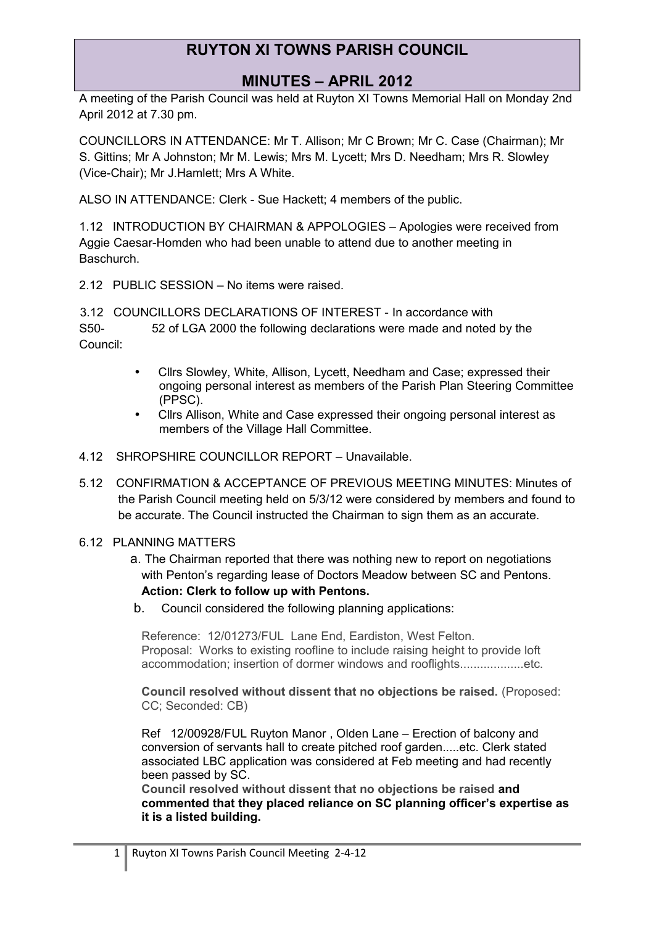#### **MINUTES – APRIL 2012**

A meeting of the Parish Council was held at Ruyton XI Towns Memorial Hall on Monday 2nd April 2012 at 7.30 pm.

COUNCILLORS IN ATTENDANCE: Mr T. Allison; Mr C Brown; Mr C. Case (Chairman); Mr S. Gittins; Mr A Johnston; Mr M. Lewis; Mrs M. Lycett; Mrs D. Needham; Mrs R. Slowley (Vice-Chair); Mr J.Hamlett; Mrs A White.

ALSO IN ATTENDANCE: Clerk - Sue Hackett; 4 members of the public.

1.12 INTRODUCTION BY CHAIRMAN & APPOLOGIES – Apologies were received from Aggie Caesar-Homden who had been unable to attend due to another meeting in Baschurch.

2.12 PUBLIC SESSION – No items were raised.

3.12 COUNCILLORS DECLARATIONS OF INTEREST - In accordance with S50- 52 of LGA 2000 the following declarations were made and noted by the Council:

- Cllrs Slowley, White, Allison, Lycett, Needham and Case; expressed their ongoing personal interest as members of the Parish Plan Steering Committee (PPSC).
- Cllrs Allison, White and Case expressed their ongoing personal interest as members of the Village Hall Committee.
- 4.12 SHROPSHIRE COUNCILLOR REPORT Unavailable.
- 5.12 CONFIRMATION & ACCEPTANCE OF PREVIOUS MEETING MINUTES: Minutes of the Parish Council meeting held on 5/3/12 were considered by members and found to be accurate. The Council instructed the Chairman to sign them as an accurate.
- 6.12 PLANNING MATTERS
	- a. The Chairman reported that there was nothing new to report on negotiations with Penton's regarding lease of Doctors Meadow between SC and Pentons. **Action: Clerk to follow up with Pentons.**
	- b. Council considered the following planning applications:

Reference: 12/01273/FUL Lane End, Eardiston, West Felton. Proposal: Works to existing roofline to include raising height to provide loft accommodation; insertion of dormer windows and rooflights...................etc.

**Council resolved without dissent that no objections be raised.** (Proposed: CC; Seconded: CB)

Ref 12/00928/FUL Ruyton Manor , Olden Lane – Erection of balcony and conversion of servants hall to create pitched roof garden.....etc. Clerk stated associated LBC application was considered at Feb meeting and had recently been passed by SC.

**Council resolved without dissent that no objections be raised and commented that they placed reliance on SC planning officer's expertise as it is a listed building.**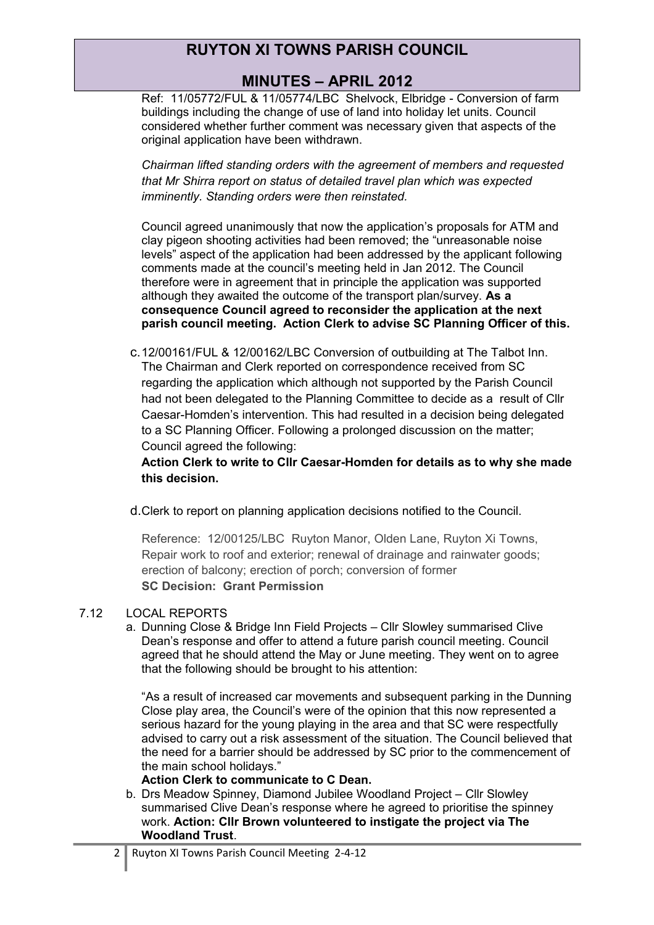### **MINUTES – APRIL 2012**

Ref: 11/05772/FUL & 11/05774/LBC Shelvock, Elbridge - Conversion of farm buildings including the change of use of land into holiday let units. Council considered whether further comment was necessary given that aspects of the original application have been withdrawn.

*Chairman lifted standing orders with the agreement of members and requested that Mr Shirra report on status of detailed travel plan which was expected imminently. Standing orders were then reinstated.*

Council agreed unanimously that now the application's proposals for ATM and clay pigeon shooting activities had been removed; the "unreasonable noise levels" aspect of the application had been addressed by the applicant following comments made at the council's meeting held in Jan 2012. The Council therefore were in agreement that in principle the application was supported although they awaited the outcome of the transport plan/survey. **As a consequence Council agreed to reconsider the application at the next parish council meeting. Action Clerk to advise SC Planning Officer of this.**

c.12/00161/FUL & 12/00162/LBC Conversion of outbuilding at The Talbot Inn. The Chairman and Clerk reported on correspondence received from SC regarding the application which although not supported by the Parish Council had not been delegated to the Planning Committee to decide as a result of Cllr Caesar-Homden's intervention. This had resulted in a decision being delegated to a SC Planning Officer. Following a prolonged discussion on the matter; Council agreed the following:

**Action Clerk to write to Cllr Caesar-Homden for details as to why she made this decision.**

d.Clerk to report on planning application decisions notified to the Council.

Reference: 12/00125/LBC Ruyton Manor, Olden Lane, Ruyton Xi Towns, Repair work to roof and exterior; renewal of drainage and rainwater goods; erection of balcony; erection of porch; conversion of former **SC Decision: Grant Permission**

#### 7.12 LOCAL REPORTS

a. Dunning Close & Bridge Inn Field Projects – Cllr Slowley summarised Clive Dean's response and offer to attend a future parish council meeting. Council agreed that he should attend the May or June meeting. They went on to agree that the following should be brought to his attention:

"As a result of increased car movements and subsequent parking in the Dunning Close play area, the Council's were of the opinion that this now represented a serious hazard for the young playing in the area and that SC were respectfully advised to carry out a risk assessment of the situation. The Council believed that the need for a barrier should be addressed by SC prior to the commencement of the main school holidays."

#### **Action Clerk to communicate to C Dean.**

b. Drs Meadow Spinney, Diamond Jubilee Woodland Project – Cllr Slowley summarised Clive Dean's response where he agreed to prioritise the spinney work. **Action: Cllr Brown volunteered to instigate the project via The Woodland Trust**.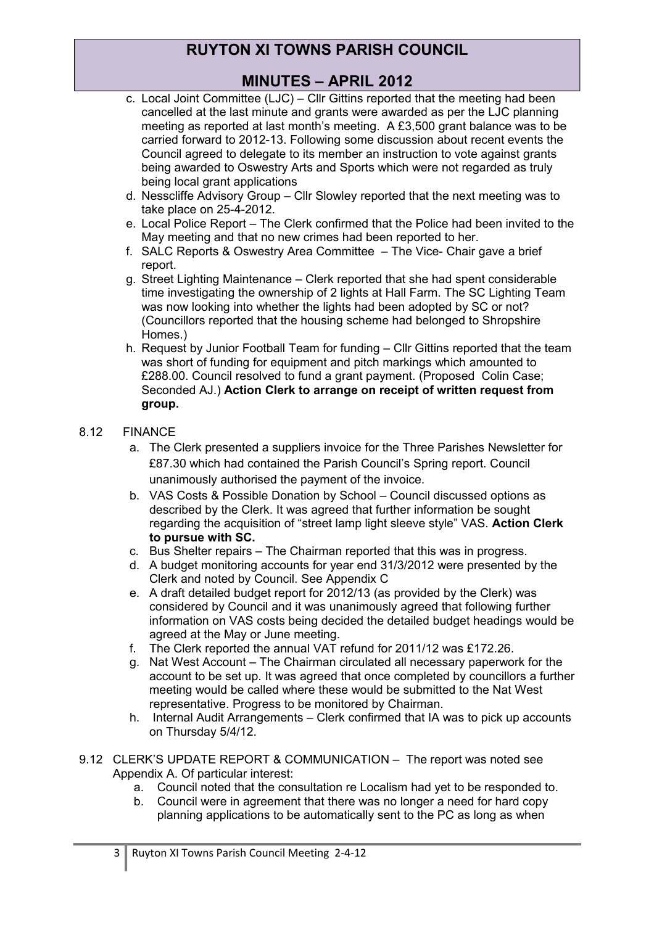### **MINUTES – APRIL 2012**

- c. Local Joint Committee (LJC) Cllr Gittins reported that the meeting had been cancelled at the last minute and grants were awarded as per the LJC planning meeting as reported at last month's meeting. A £3,500 grant balance was to be carried forward to 2012-13. Following some discussion about recent events the Council agreed to delegate to its member an instruction to vote against grants being awarded to Oswestry Arts and Sports which were not regarded as truly being local grant applications
- d. Nesscliffe Advisory Group Cllr Slowley reported that the next meeting was to take place on 25-4-2012.
- e. Local Police Report The Clerk confirmed that the Police had been invited to the May meeting and that no new crimes had been reported to her.
- f. SALC Reports & Oswestry Area Committee The Vice- Chair gave a brief report.
- g. Street Lighting Maintenance Clerk reported that she had spent considerable time investigating the ownership of 2 lights at Hall Farm. The SC Lighting Team was now looking into whether the lights had been adopted by SC or not? (Councillors reported that the housing scheme had belonged to Shropshire Homes.)
- h. Request by Junior Football Team for funding Cllr Gittins reported that the team was short of funding for equipment and pitch markings which amounted to £288.00. Council resolved to fund a grant payment. (Proposed Colin Case; Seconded AJ.) **Action Clerk to arrange on receipt of written request from group.**

#### 8.12 FINANCE

- a. The Clerk presented a suppliers invoice for the Three Parishes Newsletter for £87.30 which had contained the Parish Council's Spring report. Council unanimously authorised the payment of the invoice.
- b. VAS Costs & Possible Donation by School Council discussed options as described by the Clerk. It was agreed that further information be sought regarding the acquisition of "street lamp light sleeve style" VAS. **Action Clerk to pursue with SC.**
- c. Bus Shelter repairs The Chairman reported that this was in progress.
- d. A budget monitoring accounts for year end 31/3/2012 were presented by the Clerk and noted by Council. See Appendix C
- e. A draft detailed budget report for 2012/13 (as provided by the Clerk) was considered by Council and it was unanimously agreed that following further information on VAS costs being decided the detailed budget headings would be agreed at the May or June meeting.
- f. The Clerk reported the annual VAT refund for 2011/12 was £172.26.
- g. Nat West Account The Chairman circulated all necessary paperwork for the account to be set up. It was agreed that once completed by councillors a further meeting would be called where these would be submitted to the Nat West representative. Progress to be monitored by Chairman.
- h. Internal Audit Arrangements Clerk confirmed that IA was to pick up accounts on Thursday 5/4/12.
- 9.12 CLERK'S UPDATE REPORT & COMMUNICATION The report was noted see Appendix A. Of particular interest:
	- a. Council noted that the consultation re Localism had yet to be responded to.
	- b. Council were in agreement that there was no longer a need for hard copy planning applications to be automatically sent to the PC as long as when